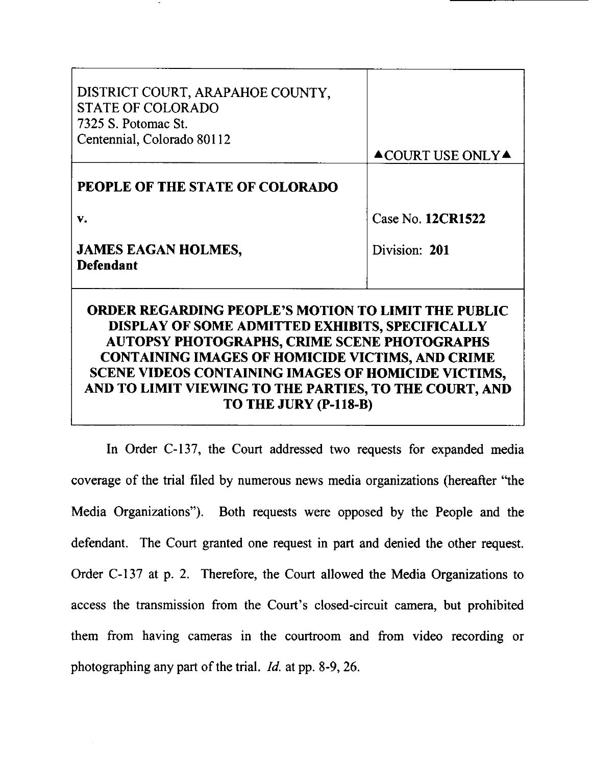| DISTRICT COURT, ARAPAHOE COUNTY,<br><b>STATE OF COLORADO</b><br>7325 S. Potomac St.<br>Centennial, Colorado 80112                                                                                                                                                                                                                                                         | $\triangle$ COURT USE ONLY $\triangle$ |
|---------------------------------------------------------------------------------------------------------------------------------------------------------------------------------------------------------------------------------------------------------------------------------------------------------------------------------------------------------------------------|----------------------------------------|
| PEOPLE OF THE STATE OF COLORADO                                                                                                                                                                                                                                                                                                                                           |                                        |
| V.                                                                                                                                                                                                                                                                                                                                                                        | Case No. 12CR1522                      |
| <b>JAMES EAGAN HOLMES,</b><br><b>Defendant</b>                                                                                                                                                                                                                                                                                                                            | Division: 201                          |
| <b>ORDER REGARDING PEOPLE'S MOTION TO LIMIT THE PUBLIC</b><br>DISPLAY OF SOME ADMITTED EXHIBITS, SPECIFICALLY<br><b>AUTOPSY PHOTOGRAPHS, CRIME SCENE PHOTOGRAPHS</b><br><b>CONTAINING IMAGES OF HOMICIDE VICTIMS, AND CRIME</b><br>SCENE VIDEOS CONTAINING IMAGES OF HOMICIDE VICTIMS,<br>AND TO LIMIT VIEWING TO THE PARTIES, TO THE COURT, AND<br>TO THE JURY (P-118-B) |                                        |

In Order C-137, the Court addressed two requests for expanded media coverage of the trial filed by numerous news media organizations (hereafter "the Media Organizations"). Both requests were opposed by the People and the defendant. The Court granted one request in part and denied the other request. Order C-137 at p. 2. Therefore, the Court allowed the Media Organizations to access the transmission from the Court's closed-circuit camera, but prohibited them from having cameras in the courtroom and from video recording or photographing any part of the trial. Id. at pp. 8-9, 26.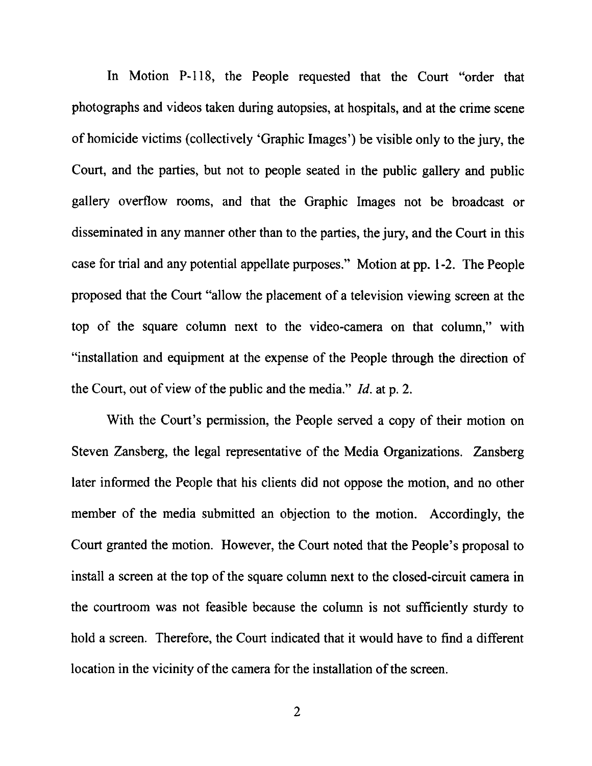In Motion P-118, the People requested that the Court "order that photographs and videos taken during autopsies, at hospitals, and at the crime scene of homicide victims (collectively 'Graphic Images') be visible only to the jury, the Court, and the parties, but not to people seated in the public gallery and public gallery overflow rooms, and that the Graphic Images not be broadcast or disseminated in any manner other than to the parties, the jury, and the Court in this case for trial and any potential appellate purposes." Motion at pp. 1-2. The People proposed that the Court "allow the placement of a television viewing screen at the top of the square column next to the video-camera on that column," with "installation and equipment at the expense of the People through the direction of the Court, out of view of the public and the media."  $Id$  at p. 2.

With the Court's permission, the People served a copy of their motion on Steven Zansberg, the legal representative of the Media Organizations. Zansberg later informed the People that his clients did not oppose the motion, and no other member of the media submitted an objection to the motion. Accordingly, the Court granted the motion. However, the Court noted that the People's proposal to install a screen at the top of the square column next to the closed-circuit camera in the courtroom was not feasible because the column is not sufliciently sturdy to hold a screen. Therefore, the Court indicated that it would have to find a different location in the vicinity of the camera for the installation of the screen.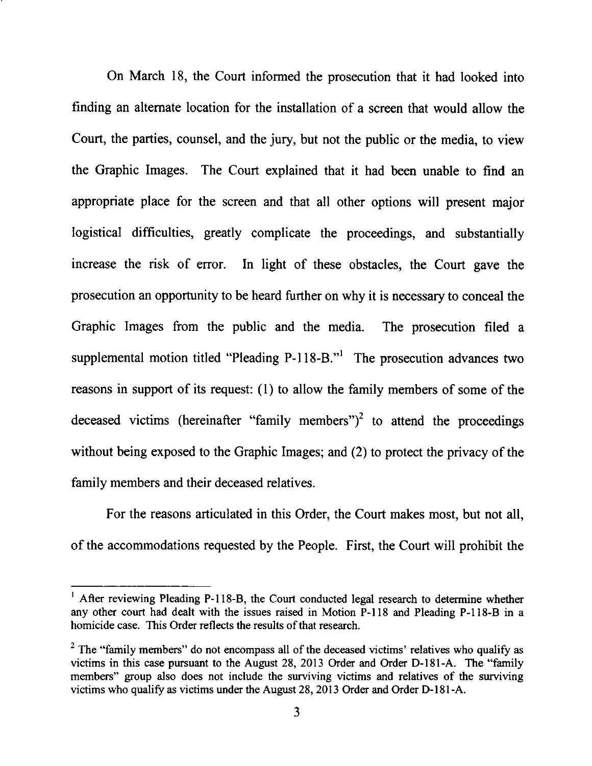On March 18, the Court informed the prosecution that it had looked into finding an altemate location for the installation of a screen that would allow the Court, the parties, counsel, and the jury, but not the public or the media, to view the Graphic Images. The Court explained that it had been unable to find an appropriate place for the screen and that all other options will present major logistical difficulties, greatly complicate the proceedings, and substantially increase the risk of error. In light of these obstacles, the Court gave the prosecution an opportunity to be heard further on why it is necessary to conceal the Graphic Images from the public and the media. The prosecution filed <sup>a</sup> supplemental motion titled "Pleading P-118-B."<sup>1</sup> The prosecution advances two reasons in support of its request: (1) to allow the family members of some of the deceased victims (hereinafter "family members")<sup>2</sup> to attend the proceedings without being exposed to the Graphic Images; and (2) to protect the privacy of the family members and their deceased relatives.

For the reasons articulated in this Order, the Court makes most, but not all, of the accommodations requested by the People. First, the Court will prohibit the

<sup>&</sup>lt;sup>1</sup> After reviewing Pleading P-118-B, the Court conducted legal research to determine whether any other court had dealt with the issues raised in Motion P-l 18 and Pleading P-118-B in a homicide case. This Order reflects the results of that research.

<sup>&</sup>lt;sup>2</sup> The "family members" do not encompass all of the deceased victims' relatives who qualify as victims in this case pursuant to the August 28, 2013 Order and Order D-181-A. The "family members" group also does not include the surviving victims and relatives of the surviving victims who qualify as victims under the August 28,  $20\overline{13}$  Order and Order D-181-A.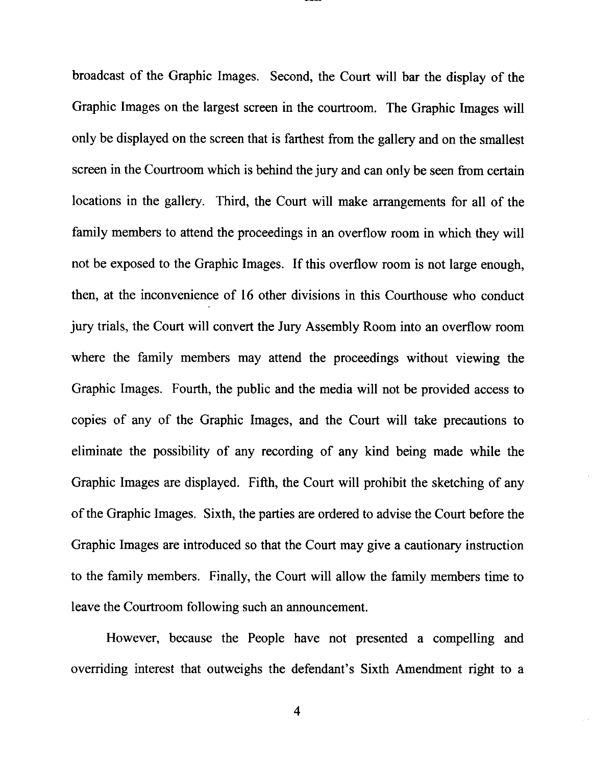broadcast of the Graphic Images. Second, the Court will bar the display of the Graphic Images on the largest screen in the courtroom. The Graphic Images will only be displayed on the screen that is farthest from the gallery and on the smallest screen in the Courtroom which is behind the jury and can only be seen from certain locations in the gallery. Third, the Court will make arrangements for all of the family members to attend the proceedings in an overflow room in which they will not be exposed to the Graphic Images. If this overflow room is not large enough, then, at the inconvenience of 16 other divisions in this Courthouse who conduct jury trials, the Court will convert the Jury Assembly Room into an overflow room where the family members may attend the proceedings without viewing the Graphic Images. Fourth, the public and the media will not be provided access to copies of any of the Graphic Images, and the Court will take precautions to eliminate the possibility of any recording of any kind being made while the Graphic Images are displayed. Fifth, the Court will prohibit the sketching of any of the Graphic Images. Sixth, the parties are ordered to advise the Court before the Graphic Images are introduced so that the Court may give a cautionary instruction to the family members. Finally, the Court will allow the family members time to leave the Courtroom following such an announcement.

However, because the People have not presented a compelling and overriding interest that outweighs the defendant's Sixth Amendment right to a

4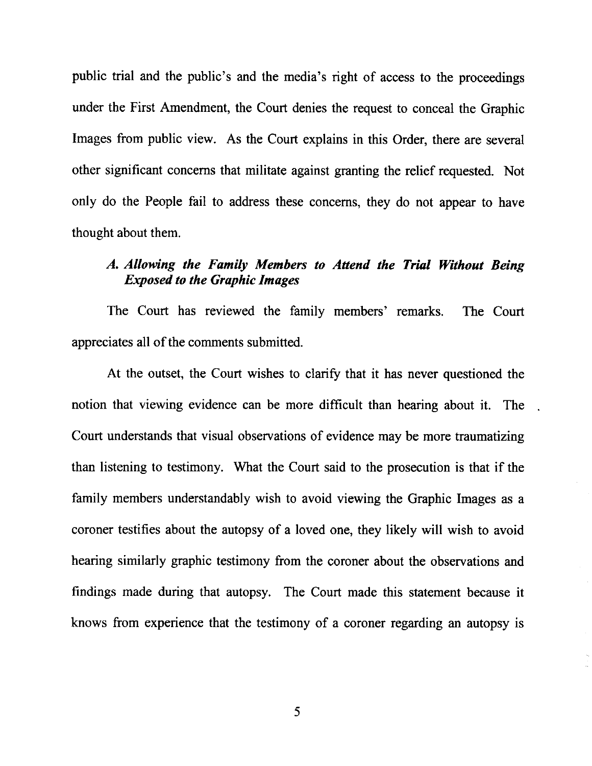public trial and the public's and the media's right of access to the proceedings under the First Amendment, the Court denies the request to conceal the Graphic Images from public view. As the Court explains in this Order, there are several other significant concems that militate against granting the relief requested. Not only do the People fail to address these concerns, they do not appear to have thought about them.

## A. Allowing the Family Members to Attend the Trial Without Being Exposed to the Graphic Images

The Court has reviewed the family members' remarks. The Court appreciates all of the comments submitted.

At the outset, the Court wishes to clarify that it has never questioned the notion that viewing evidence can be more difficult than hearing about it. The Court understands that visual observations of evidence may be more traumatizing than listening to testimony. What the Court said to the prosecution is that if the family members understandably wish to avoid viewing the Graphic Images as a coroner testifies about the autopsy of a loved one, they likely will wish to avoid hearing similarly graphic testimony from the coroner about the observations and findings made during that autopsy. The Court made this statement because it knows from experience that the testimony of a coroner regarding an autopsy is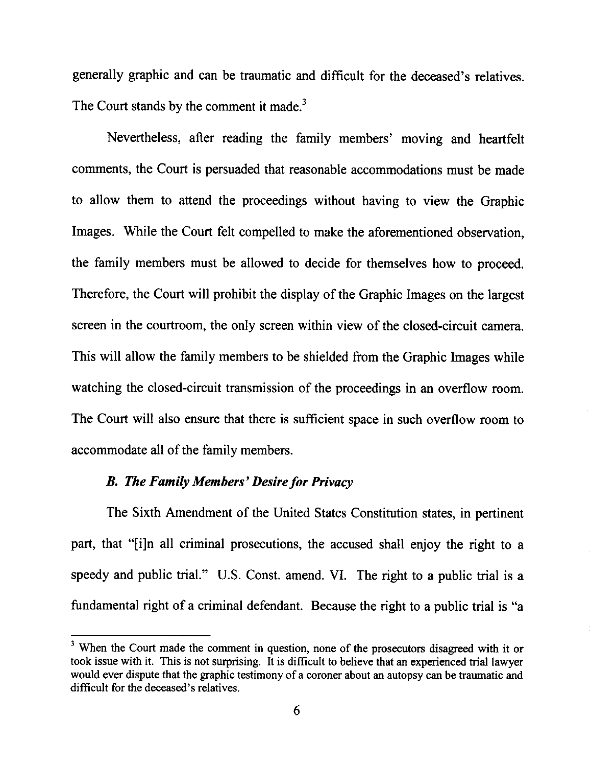generally graphic and can be traumatic and difficult for the deceased's relatives. The Court stands by the comment it made.<sup>3</sup>

Nevertheless, after reading the family members' moving and heartfelt comments, the Court is persuaded that reasonable accommodations must be made to allow them to attend the proceedings without having to view the Graphic Images. While the Court felt compelled to make the aforementioned observation, the family members must be allowed to decide for themselves how to proceed. Therefore, the Court will prohibit the display of the Graphic Images on the largest screen in the courtroom, the only screen within view of the closed-circuit camera. This will allow the family members to be shielded from the Graphic Images while watching the closed-circuit transmission of the proceedings in an overflow room. The Court will also ensure that there is sufficient space in such overflow room to accommodate all of the family members.

## B. The Family Members' Desire for Privacy

The Sixth Amendment of the United States Constitution states, in pertinent part, that "[i]n all criminal prosecutions, the accused shall enjoy the right to <sup>a</sup> speedy and public trial." U.S. Const. amend. VI. The right to a public trial is <sup>a</sup> fundamental right of a criminal defendant. Because the right to a public trial is "a

<sup>&</sup>lt;sup>3</sup> When the Court made the comment in question, none of the prosecutors disagreed with it or took issue with it. This is not surprising. It is difficult to believe that an experienced trial lawyer would ever dispute that the graphic testimony of a coroner about an autopsy can be traumatic and difficult for the deceased's relatives.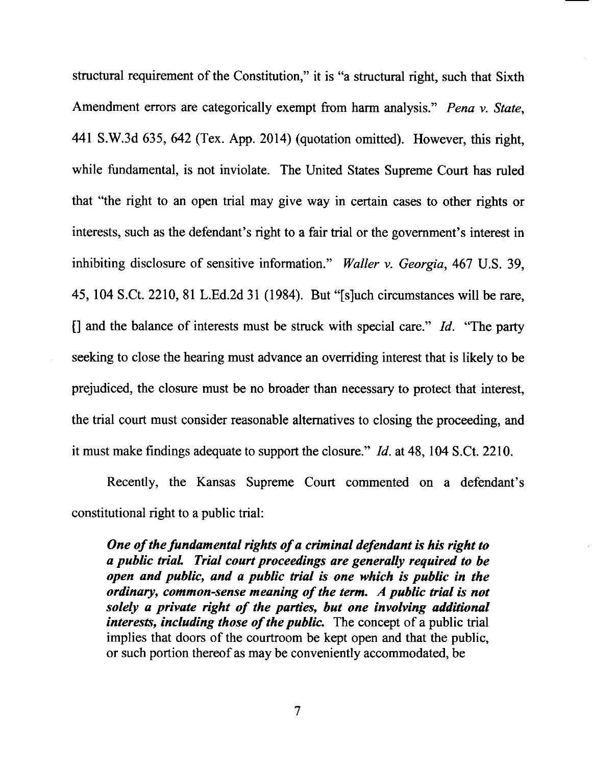structural requirement of the Constitution," it is "a structural right, such that Sixth Amendment errors are categorically exempt from harm analysis." Pena v. State, 441 S.W.3d 635, 642 (Tex. App. 2014) (quotation omitted). However, this right, while fundamental, is not inviolate. The United States Supreme Court has ruled that "the right to an open trial may give way in certain cases to other rights or interests, such as the defendant's right to a fair trial or the government's interest in inhibiting disclosure of sensitive information." Waller v. Georgia, 467 U.S. 39, 45,104S.Ct.2210,81 L.Ed.2d 31 (1984). But "[s]uch circumstances will be rare, [] and the balance of interests must be struck with special care." Id. "The party seeking to close the hearing must advance an overriding interest that is likely to be prejudiced, the closure must be no broader than necessary to protect that interest, the trial court must consider reasonable alternatives to closing the proceeding, and it must make findings adequate to support the closure." Id. at 48, 104 S.Ct.2210.

Recently, the Kansas Supreme Court commented on a defendant's constitutional right to a public trial:

One of the fundamental rights of a criminal defendant is his right to <sup>a</sup>puhlic trial Trial court proceedings are generally required to be open and public, and a public trial is one which is public in the ordinary, common-sense meaning of the term. A public trial is not solely a private right of the parties, but one involving additional interests, including those of the public. The concept of a public trial implies that doors of the courtroom be kept open and that the public, or such portion thereof as may be conveniently accommodated, be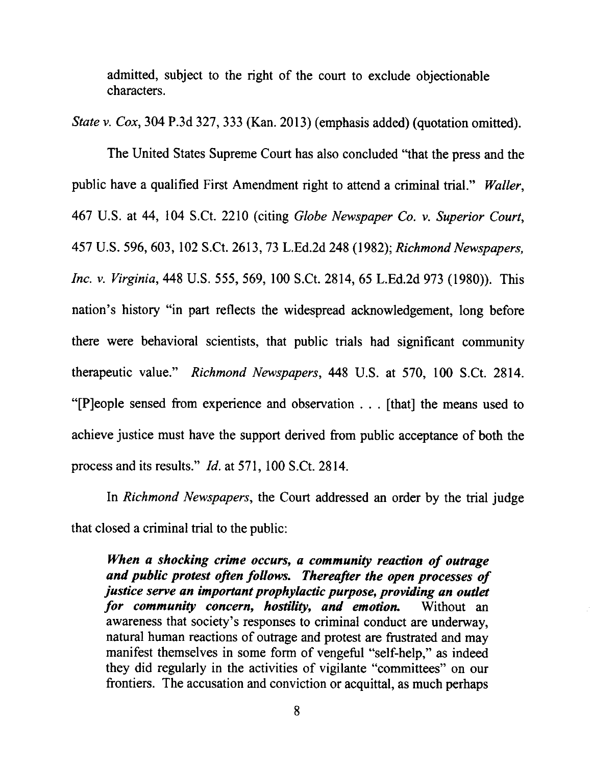admitted, subject to the right of the court to exclude objectionable characters.

State v. Cox, 304 P.3d 327, 333 (Kan. 2013) (emphasis added) (quotation omitted).

The United States Supreme Court has also concluded "that the press and the public have a qualified First Amendment right to attend a criminal trial." Waller, 467 U.S. at 44, 104 S.Ct. 2210 (citing Globe Newspaper Co. v. Superior Court, 457 U.S. 596, 603, 102 S.Ct. 2613, 73 L.Ed.2d 248 (1982); Richmond Newspapers, Inc. v. Yirginia, 448 U.S. 555, 569, 100 S.Ct. 2814,65 L.Ed.2d 973 (1980)). This nation's history "in part reflects the widespread acknowledgement, long before there were behavioral scientists, that public trials had significant community therapeutic value." Richmond Newspapers, 448 U.S. at 570, 100 S.Ct. 2814. "[P]eople sensed from experience and observation . . . [that] the means used to achieve justice must have the support derived from public acceptance of both the process and its results." Id. at 571, 100 S.Ct. 2814.

In *Richmond Newspapers*, the Court addressed an order by the trial judge that closed a criminal trial to the public:

When a shocking crime occurs, a community reaction of outrage and public protest often follows. Thereafter the open processes of justice serve an important prophylactic purpose, providing an outlet for community concern, hostility, and emotion. Without an awareness that society's responses to criminal conduct are underway, natural human reactions of outrage and protest are frustrated and may manifest themselves in some form of vengeful "self-help," as indeed they did regularly in the activities of vigilante "committees" on our frontiers. The accusation and conviction or acquittal, as much perhaps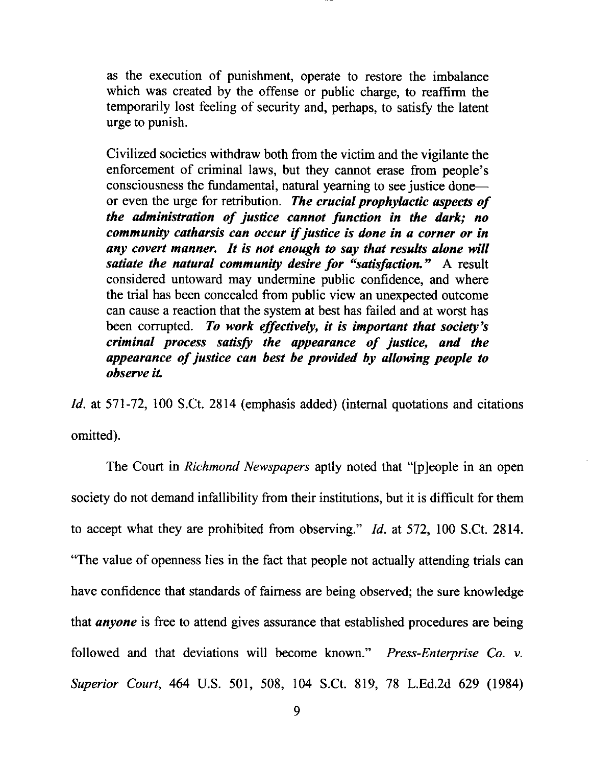as the execution of punishment, operate to restore the imbalance which was created by the offense or public charge, to reaffirm the temporarily lost feeling of security and, perhaps, to satisfy the latent urge to punish.

Civilized societies withdraw both from the victim and the vigilante the enforcement of criminal laws, but they cannot erase from people's consciousness the fundamental, natural yeaming to see justice doneor even the urge for retribution. The crucial prophylactic aspects of the administration of justice cannot function in the dark; no community catharsis can occur if justice is done in a corner or in any covert manner. It is not enough to say that results alone will satiate the natural community desire for "satisfaction." A result considered untoward may undermine public confidence, and where the trial has been concealed from public view an unexpected outcome can cause a reaction that the system at best has failed and at worst has been corrupted. To work effectively, it is important that society's criminal process satisfy the appearunce of justice, and the appearance of justice can best be provided by allowing people to observe iL

Id. at 571-72, 100 S.Ct. 2814 (emphasis added) (internal quotations and citations omitted).

The Court in Richmond Newspapers aptly noted that "[p]eople in an open society do not demand infallibility from their institutions, but it is difficult for them to accept what they are prohibited from observing."  $Id.$  at 572, 100 S.Ct. 2814. "The value of openness lies in the fact that people not actually attending trials can have confidence that standards of fairness are being observed; the sure knowledge that *anyone* is free to attend gives assurance that established procedures are being followed and that deviations will become known." Press-Enterprise Co. v. Superior Court, 464 U.S. 501, 508, 104 S.Ct. 819, 78 L.Ed.zd 629 (1984)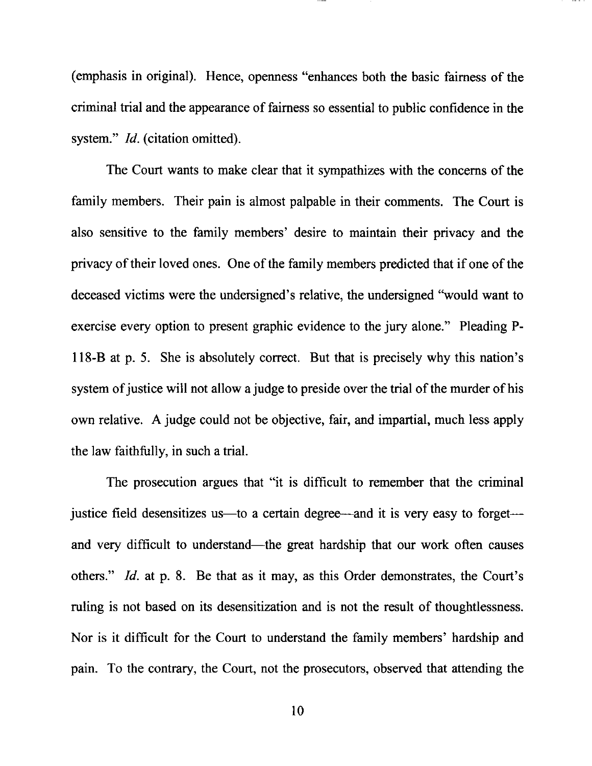(emphasis in original). Hence, openness "enhances both the basic fairness of the criminal trial and the appearance of fairness so essential to public confidence in the system." *Id.* (citation omitted).

The Court wants to make clear that it sympathizes with the concems of the family members. Their pain is almost palpable in their comments. The Court is also sensitive to the family members' desire to mainkin their privacy and the privacy of their loved ones. One of the family members predicted that if one of the deceased victims were the undersigned's relative, the undersigned "would want to exercise every option to present graphic evidence to the jury alone." Pleading P-<sup>I</sup>l8-B at p. 5. She is absolutely correct. But that is precisely why this nation's system of justice will not allow a judge to preside over the trial of the murder of his own relative. A judge could not be objective, fair, and impartial, much less apply the law faithfully, in such a trial.

The prosecution argues that "it is difficult to remember that the criminal justice field desensitizes us—to a certain degree—and it is very easy to forget and very difficult to understand—the great hardship that our work often causes others." Id. at p. 8. Be that as it may, as this Order demonstrates, the Court's ruling is not based on its desensitization and is not the result of thoughtlessness. Nor is it difficult for the Court to understand the family members' hardship and pain. To the contrary, the Court, not the prosecutors, observed that attending the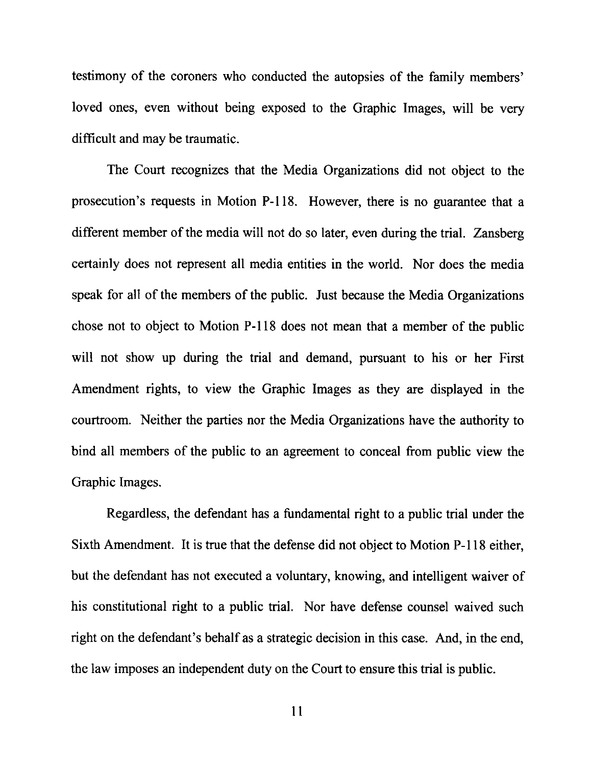testimony of the coroners who conducted the autopsies of the family members' loved ones, even without being exposed to the Graphic Images, will be very difficult and may be traumatic.

The Court recognizes that the Media Organizations did not object to the prosecution's requests in Motion P-118. However, there is no guarantee that a different member of the media will not do so later, even during the trial. Zansberg certainly does not represent all media entities in the world. Nor does the media speak for all of the members of the public. Just because the Media Organizations chose not to object to Motion P-I18 does not mean that a member of the public will not show up during the trial and demand, pursuant to his or her First Amendment rights, to view the Graphic Images as they are displayed in the courtroom. Neither the parties nor the Media Organizations have the authority to bind all members of the public to an agreement to conceal from public view the Graphic Images.

Regardless, the defendant has a fundamental right to a public trial under the Sixth Amendment. It is true that the defense did not object to Motion P-l l8 either, but the defendant has not executed a voluntary, knowing, and intelligent waiver of his constitutional right to a public trial. Nor have defense counsel waived such right on the defendant's behalf as a strategic decision in this case. And, in the end, the law imposes an independent duty on the Court to ensure this trial is public.

ll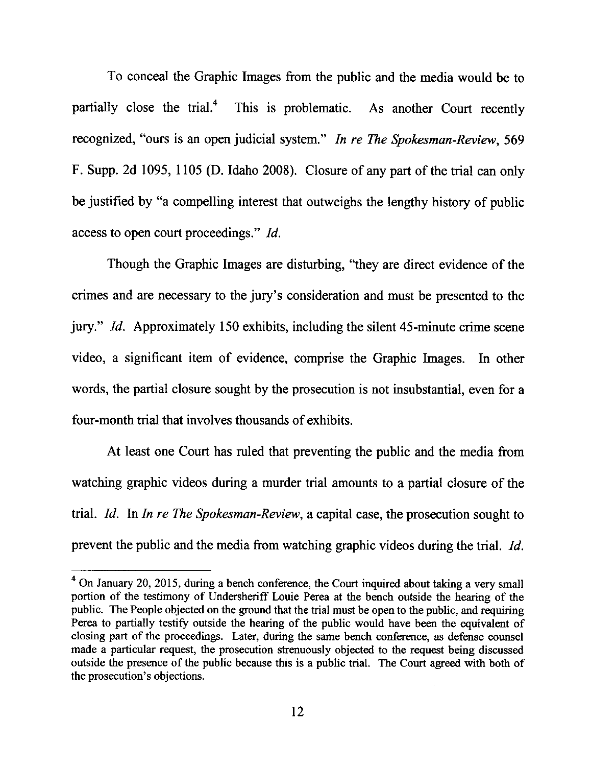To conceal the Graphic Images from the public and the media would be to partially close the trial. $<sup>4</sup>$  This is problematic. As another Court recently</sup> recognized, "ours is an open judicial system." In re The Spokesman-Review, 569 F. Supp. 2d 1095, I 105 (D. Idaho 2008). Closure of any part of the trial can only be justified by "a compelling interest that outweighs the lengthy history of public access to open court proceedings." Id.

Though the Graphic Images are disturbing, "they are direct evidence of the crimes and are necessary to the jury's consideration and must be presented to the jury." Id. Approximately 150 exhibits, including the silent 45-minute crime scene video, a significant item of evidence, comprise the Graphic Images. In other words, the partial closure sought by the prosecution is not insubstantial, even for a four-month trial that involves thousands of exhibits.

At least one Court has ruled that preventing the public and the media from watching graphic videos during a murder trial amounts to a partial closure of the trial. Id. In In re The Spokesman-Review, a capital case, the prosecution sought to prevent the public and the media from watching graphic videos during the trial. Id.

 $4$  On January 20, 2015, during a bench conference, the Court inquired about taking a very small portion of the testimony of Undersheriff Louie Perea at the bench outside the hearing of the public. The People objected on the ground that the trial must be open to the public, and requiring Perea to partially testify outside the hearing of the public would have been the equivalent of closing part of the proceedings. Later, during the same bench conference, as defense counsel made a particular request, the prosecution strenuously objected to the request being discussed outside the presence of the public because this is a public trial. The Court agreed with both of the prosecution's objections.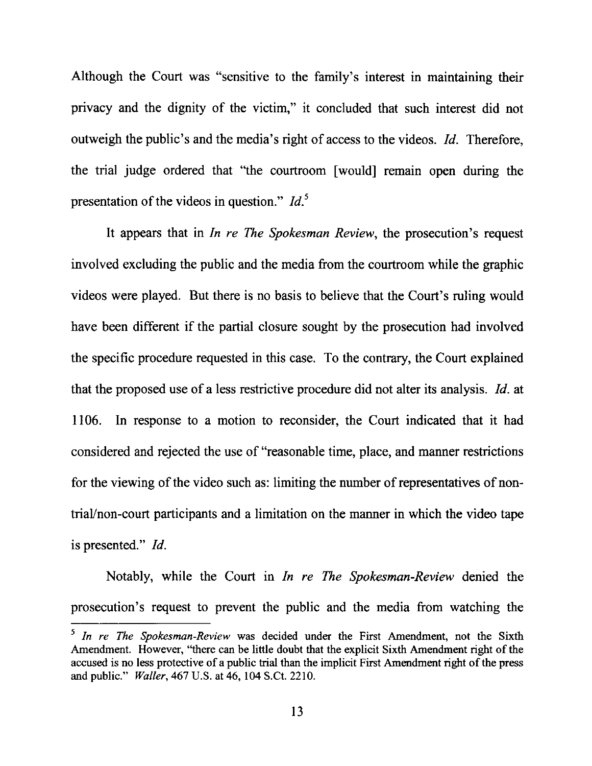Although the Court was "sensitive to the family's interest in maintaining their privacy and the dignity of the victim," it concluded that such interest did not outweigh the public's and the media's right of access to the videos. 1d. Therefore, the trial judge ordered that "the courtroom [would] rernain open during the presentation of the videos in question."  $Id<sup>5</sup>$ 

It appears that in *In re The Spokesman Review*, the prosecution's request involved excluding the public and the media from the courtroom while the graphic videos were played. But there is no basis to believe that the Court's ruling would have been different if the partial closure sought by the prosecution had involved the specific procedure requested in this case. To the contrary, the Court explained that the proposed use of a less restrictive procedure did not alter its analysis. Id. at 1106. In response to a motion to reconsider, the Court indicated that it had considered and rejected the use of"reasonable time, place, and manner restrictions for the viewing of the video such as: limiting the number of representatives of nontriaVnon-court participants and a limitation on the manner in which the video tape is presented." 1d.

Notably, while the Court in In re The Spokesman-Review denied the prosecution's request to prevent the public and the media from watching the

 $\frac{1}{2}$  In re The Spokesman-Review was decided under the First Amendment, not the Sixth Amendment. However, "there can be little doubt that the explicit Sixth Amendment right of the accused is no less protective of a public trial than the implicit First Amendment right of the press and public." Waller, 467 U.S. at 46, 104 S.Ct. 2210.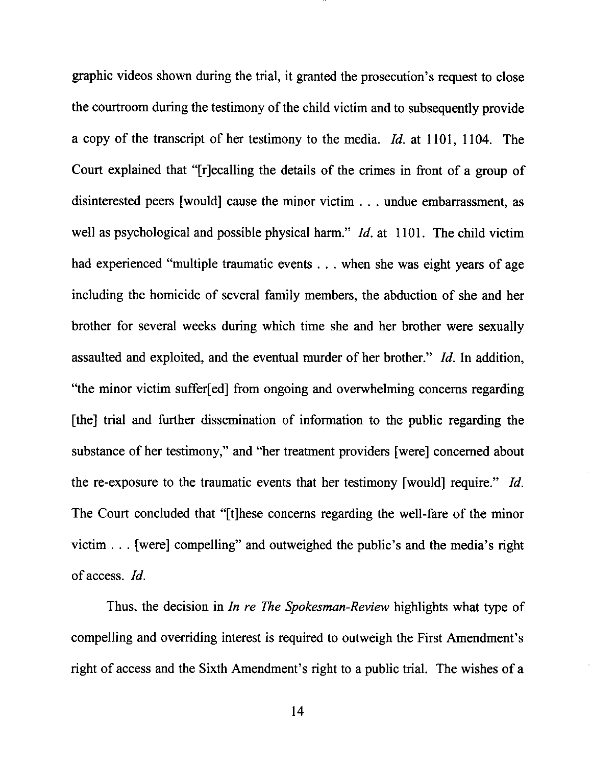graphic videos shown during the trial, it granted the prosecution's request to close the courtroom during the testimony of the child victim and to subsequently provide a copy of the transcript of her testimony to the media. Id. at 1101, I104. The Court explained that "[r]ecalling the details of the crimes in front of a group of disinterested peers [would] cause the minor victim . . . undue embarrassment, as well as psychological and possible physical harm." *Id.* at 1101. The child victim had experienced "multiple traumatic events . . . when she was eight years of age including the homicide of several family members, the abduction of she and her brother for several weeks during which time she and her brother were sexually assaulted and exploited, and the eventual murder of her brother." Id. In addition, "the minor victim suffer[ed] from ongoing and overwhelming concerns regarding [the] trial and further dissemination of information to the public regarding the substance of her testimony," and "her treatment providers [were] concerned about the re-exposure to the traumatic events that her testimony [would] require." Id. The Court concluded that "[t]hese concems regarding the well-fare of the minor victim . . . [were] compelling" and outweighed the public's and the media's right of access. Id.

Thus, the decision in In re The Spokesman-Review highlights what type of compelling and overriding interest is required to outweigh the First Amendment's right of access and the Sixth Amendment's right to a public trial. The wishes of a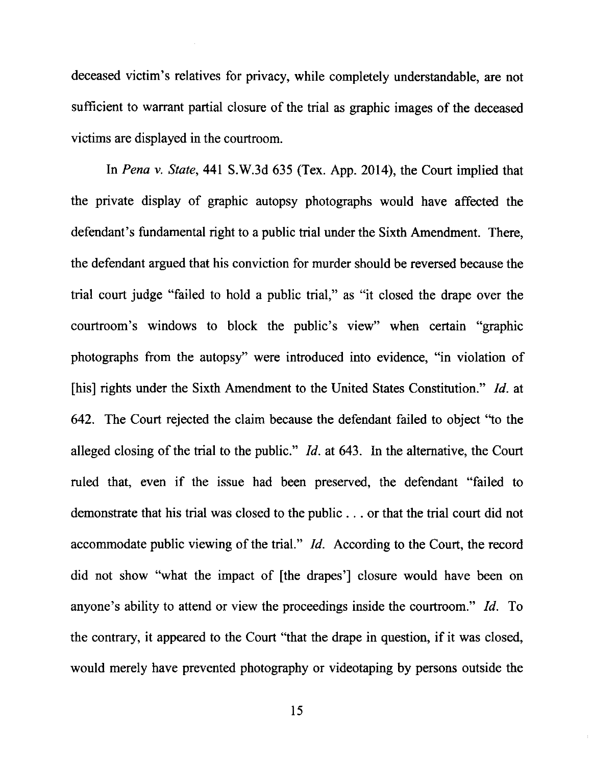deceased victim's relatives for privacy, while completely understandable, are not sufficient to warrant partial closure of the trial as graphic images of the deceased victims are displayed in the courtroom.

h Pena v. State,44l S.W.3d 635 (Tex. App. 2014), the Court implied that the private display of graphic autopsy photographs would have affected the defendant's fundamental right to a public trial under the Sixth Amendment. There, the defendant argued that his conviction for murder should be reversed because the trial court judge "failed to hold a public trial," as "it closed the drape over the courtroom's windows to block the public's view" when certain "graphic photographs from the autopsy''were introduced into evidence, "in violation of [his] rights under the Sixth Amendment to the United States Constitution." *Id.* at 642. The Court rejected the claim because the defendant failed to object "to the alleged closing of the trial to the public."  $Id$  at 643. In the alternative, the Court ruled that, even if the issue had been preserved, the defendant "failed to demonstrate that his trial was closed to the public . . . or that the trial court did not accommodate public viewing of the tial." Id. According to the Court, the record did not show "what the impact of [the drapes'] closure would have been on anyone's ability to attend or view the proceedings inside the courtroom." Id. To the contrary, it appeared to the Court "that the drape in question, if it was closed, would merely have prevented photography or videotaping by persons outside the

l5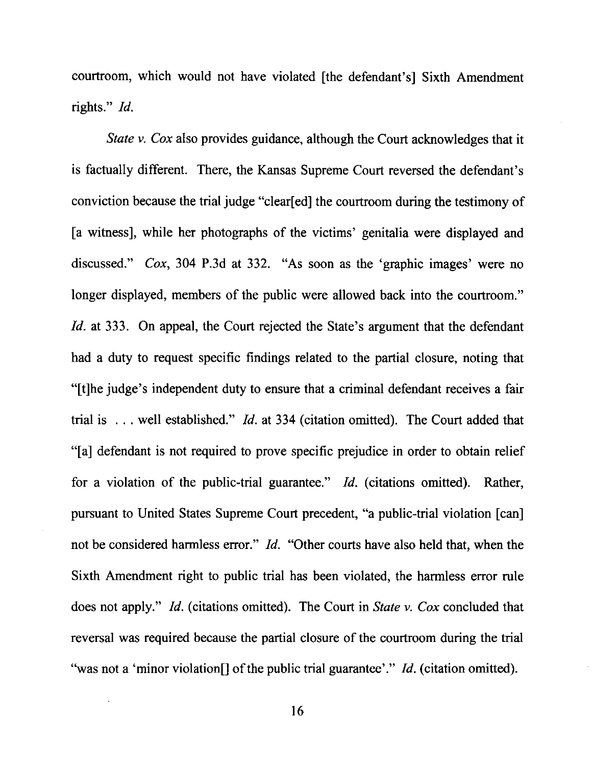courtroom, which would not have violated [the defendant's] Sixth Amendment rights." *Id.* 

State v. Cox also provides guidance, although the Court acknowledges that it is factually different. There, the Kansas Supreme Court reversed the defendant's conviction because the trial judge "clear[ed] the courtroom during the testimony of [a witness], while her photographs of the victims' genitalia were displayed and discussed." Cox, 304 P.3d at 332. "As soon as the 'graphic images' were no longer displayed, members of the public were allowed back into the courtroom." Id. at 333. On appeal, the Court rejected the State's argument that the defendant had a duty to request specific findings related to the partial closure, noting that "[t]he judge's independent duty to ensure that a criminal defendant receives a fair trial is . . . well established." Id. at 334 (citation omitted). The Court added that "[a] defendant is not required to prove specific prejudice in order to obtain relief for a violation of the public-trial guarantee." Id. (citations omitted). Rather, pursuant to United States Supreme Court precedent, "a public-trial violation [can] not be considered harmless error." Id. "Other courts have also held that, when the Sixth Amendment right to public trial has been violated, the harmless error rule does not apply." Id. (citations omitted). The Court in State v. Cox concluded that reversal was required because the partial closure of the courtroom during the trial "was not a 'minor violation" of the public trial guarantee'." Id. (citation omitted).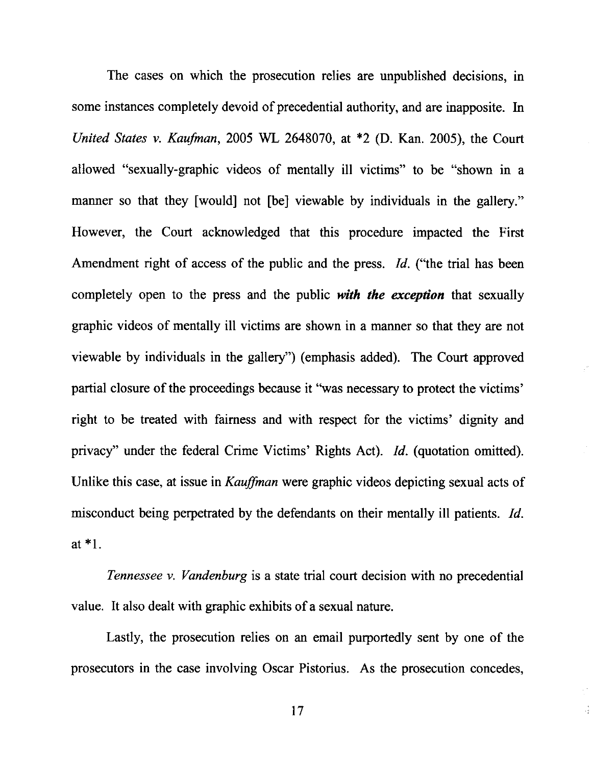The cases on which the prosecution relies are unpublished decisions, in some instances completely devoid of precedential authority, and are inapposite. In United States v. Kaufman, 2005 WL 2648070, at  $*2$  (D. Kan. 2005), the Court allowed "sexually-graphic videos of mentally ill victims" to be "shown in <sup>a</sup> manner so that they [would] not [be] viewable by individuals in the gallery." However, the Court acknowledged that this procedure impacted the First Amendment right of access of the public and the press. *Id.* ("the trial has been completely open to the press and the public with the exception that sexually graphic videos of mentally ill victims are shown in a manner so that they are not viewable by individuals in the gallery") (emphasis added). The Court approved partial closure of the proceedings because it "was necessary to protect the victims" right to be treated with faimess and with respect for the victims' dignity and privacy'' under the federal Crime Victims' Rights Act). Id. (quotation omitted). Unlike this case, at issue in Kauffman were graphic videos depicting sexual acts of misconduct being perpetrated by the defendants on their mentally ill patients. *Id*. at \*1.

Tennessee v. Vandenburg is a state trial court decision with no precedential value. It also dealt with graphic exhibits of a sexual nature.

Lastly, the prosecution relies on an email purportedly sent by one of the prosecutors in the case involving Oscar Pistorius. As the prosecution concedes,

17

 $\frac{1}{2}$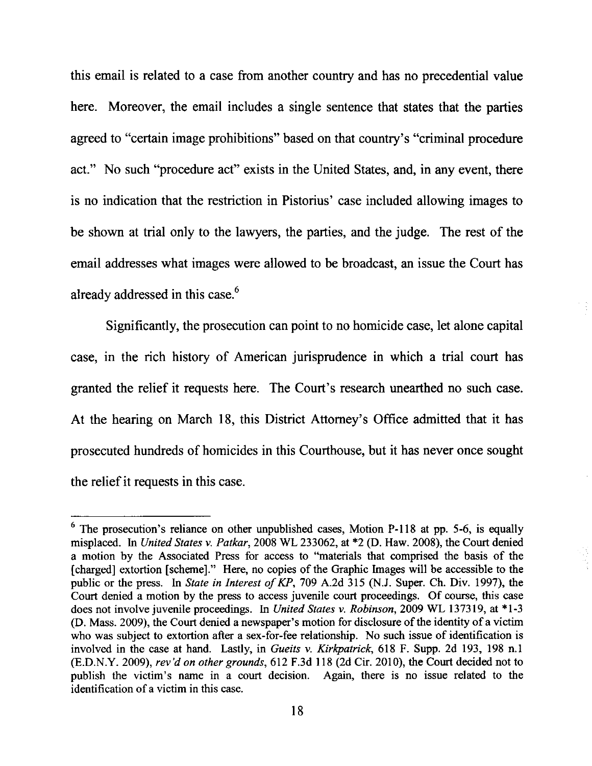this email is related to a case from another country and has no precedential value here. Moreover, the email includes a single sentence that states that the parties agreed to "certain image prohibitions" based on that country's "criminal procedure act." No such "procedure act" exists in the United States, and, in any event, there is no indication that the restriction in Pistorius' case included allowing images to be shown at trial only to the lawyers, the parties, and the judge. The rest of the email addresses what images were allowed to be broadcast, an issue the Court has already addressed in this case.<sup>6</sup>

Significantly, the prosecution can point to no homicide case, let alone capital case, in the rich history of American jurisprudence in which a trial court has granted the relief it requests here. The Court's research unearthed no such case. At the hearing on March 18, this District Attorney's Office admitted that it has prosecuted hundreds of homicides in this Courthouse, but it has never once sought the relief it requests in this case.

 $6$  The prosecution's reliance on other unpublished cases, Motion P-118 at pp. 5-6, is equally misplaced. In United States v. Patkar, 2008 WL 233062, at \*2 (D. Haw. 2008), the Court denied a motion by the Associated Press for access to "materials that comprised the basis of the [charged] extortion [scheme]." Here, no copies of the Graphic Images will be accessible to the public or the press. In State in Interest of KP, 709 A.2d 315 (N.J. Super. Ch. Div. 1997), the Court denied a motion by the press to access juvenile court proceedings. Of course, this case does not involve juvenile proceedings. In United States v. Robinson, 2009 WL 137319, at \*1-3 (D. Mass. 2009), the Court denied a newspaper's motion for disclosure of the identity of a victim who was subject to extortion after a sex-for-fee relationship. No such issue of identification is involved in the case at hand. Lastly, in Gueits v. Kirkpatrick, 618 F. Supp. 2d 193, 198 n.1 (E.D.N.Y. 2009), rev'd on other grounds, 612 F.3d 118 (2d Cir. 2010), the Court decided not to publish the victim's name in a court decision. Again, there is no issue related to the identification of a victim in this case.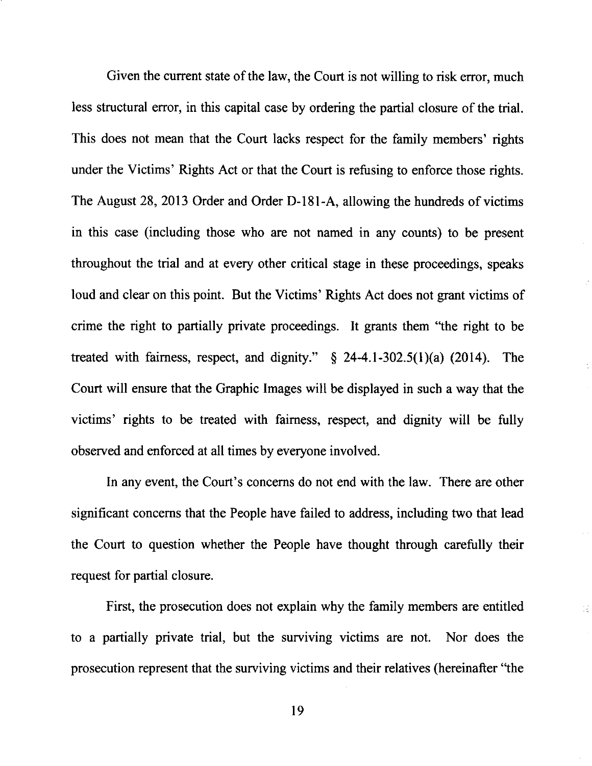Given the current state of the law, the Court is not willing to risk error, much less structural error, in this capital case by ordering the partial closure of the trial. This does not mean that the Court lacks respect for the family members' rights under the Victims' Rights Act or that the Court is refusing to enforce those rights. The August 28,2013 Order and Order D-l8l-A, allowing the hundreds of victims in this case (including those who are not named in any counts) to be present throughout the trial and at every other critical stage in these proceedings, speaks loud and clear on this point. But the Victims' Rights Act does not grant victims of crime the right to partially private proceedings. It grants them "the right to be treated with fairness, respect, and dignity."  $\S$  24-4.1-302.5(1)(a) (2014). The Court will ensure that the Graphic Images will be displayed in such a way that the victims' rights to be treated with fairness, respect, and dignity will be fully observed and enforced at all times by everyone involved.

In any event, the Court's concerns do not end with the law. There are other significant concerns that the People have failed to address, including two that lead the Court to question whether the People have thought through carefully their request for partial closure.

First, the prosecution does not explain why the family members are entitled to a partially private trial, but the surviving victims are not. Nor does the prosecution represent that the surviving victims and their relatives (hereinafter "the

1š.

19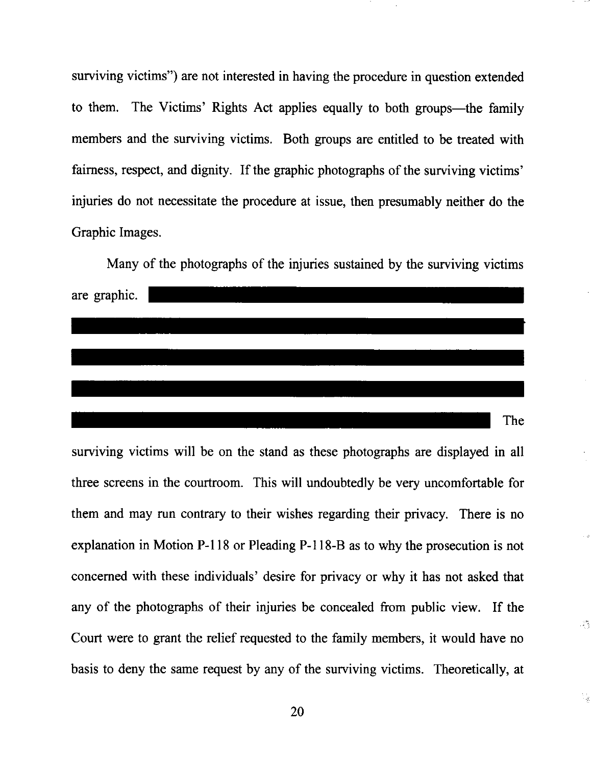surviving victims") are not interested in having the procedure in question extended to them. The Victims' Rights Act applies equally to both groups-the family members and the surviving victims. Both groups are entitled to be treated with fairness, respect, and dignity. If the graphic photographs of the surviving victims' injuries do not necessitate the procedure at issue, then presumably neither do the Graphic Images.



surviving victims will be on the stand as these photographs are displayed in all three screens in the courtroom. This will undoubtedly be very uncomfortable for them and may run contrary to their wishes regarding their privacy. There is no explanation in Motion P-l l8 or Pleading P-l l8-B as to why the prosecution is not concerned with these individuals' desire for privacy or why it has not asked that any of the photographs of their injuries be concealed from public view. If the Court were to grant the relief requested to the family members, it would have no basis to deny the same request by any of the surviving victims. Theoretically, at

45

导索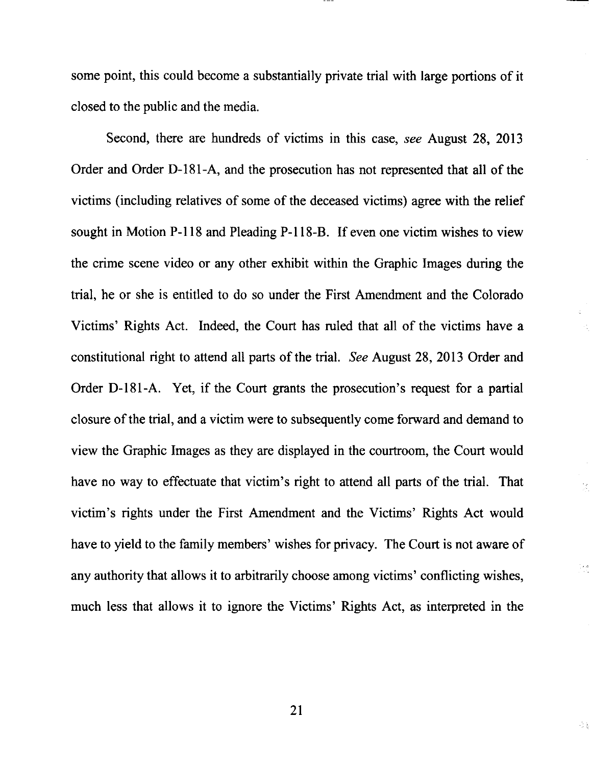some point, this could become a substantially private trial with large portions of it closed to the public and the media.

Second, there are hundreds of victims in this case, see August 28, 2013 Order and Order D-181-A, and the prosecution has not represented that all of the victims (including relatives of some of the deceased victims) agree with the relief sought in Motion P-118 and Pleading P-118-B. If even one victim wishes to view the crime scene video or any other exhibit within the Graphic Images during the trial, he or she is entitled to do so under the First Amendment and the Colorado Victims' Rights Act. Indeed, the Court has ruled that all of the victims have <sup>a</sup> constitutional right to attend all parts of the trial. See August 28, 2013 Order and Order D-l8l-A. Yet, if the Court grants the prosecution's request for a partial closure of the trial, and a victim were to subsequently come forward and demand to view the Graphic Images as they are displayed in the courtroom, the Court would have no way to effectuate that victim's right to attend all parts of the trial. That victim's rights under the First Amendment and the Victims' Rights Act would have to yield to the family members' wishes for privacy. The Court is not aware of any authority that allows it to arbitrarily choose among victims' conflicting wishes, much less that allows it to ignore the Victims' Rights Act, as interpreted in the

 $\mathcal{G}_1$ 

 $\left[\begin{array}{cc} 2 & 0 \\ 1 & 1 \end{array}\right]$ 

금융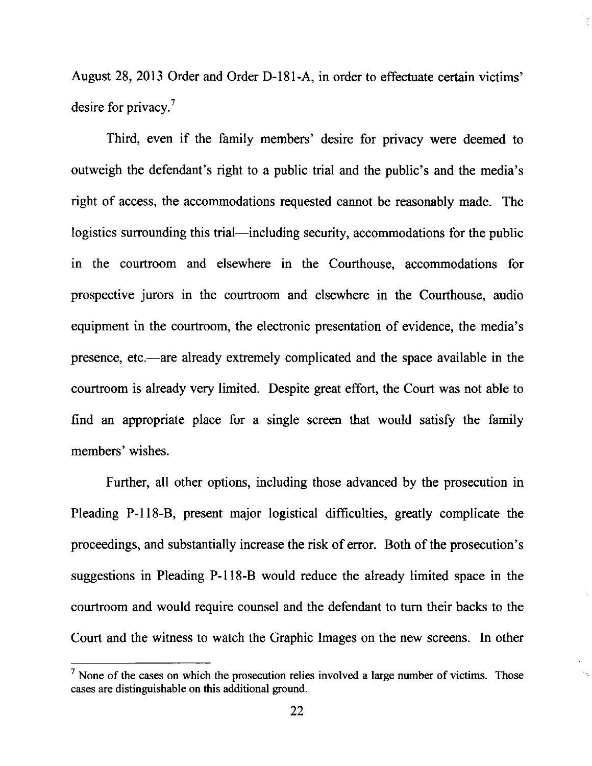August 28,2013 Order and Order D-I81-A, in order to effectuate certain victims' desire for privacy. $7$ 

Third, even if the family members' desire for privacy were deemed to outweigh the defendant's right to a public trial and the public's and the media's right of access, the accommodations requested cannot be reasonably made. The logistics surrounding this trial—including security, accommodations for the public in the courtroom and elsewhere in the Courthouse, accommodations for prospective jurors in the courtroom and elsewhere in the Courthouse, audio equipment in the courtroom, the electronic presentation of evidence, the media's presence, etc.—are already extremely complicated and the space available in the courtroom is already very limited. Despite great effort, the Court was not able to find an appropriate place for a single screen that would satisfy the family members'wishes.

Further, all other options, including those advanced by the prosecution in Pleading P-118-B, present major logistical difficulties, greatly complicate the proceedings, and substantially increase the risk of error. Both of the prosecution's suggestions in Pleading P-llS-B would reduce the already limited space in the courtroom and would require counsel and the defendant to turn their backs to the Court and the witness to watch the Graphic Images on the new screens. In other

 $<sup>7</sup>$  None of the cases on which the prosecution relies involved a large number of victims. Those</sup> cases are distinguishable on this additional ground.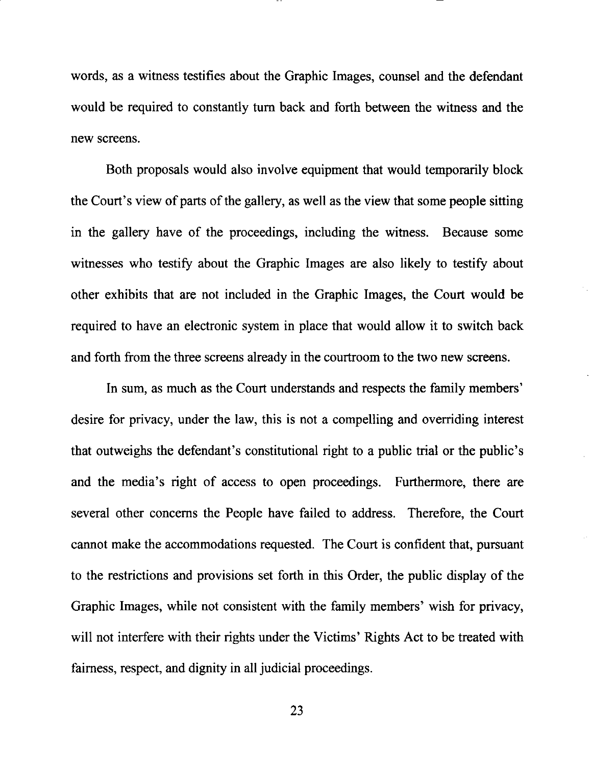words, as a witness testifies about the Graphic Images, counsel and the defendant would be required to constantly tum back and forth befween the witness and the new screens.

Both proposals would also involve equipment that would temporarily block the Court's view of parts of the gallery, as well as the view that some people sitting in the gallery have of the proceedings, including the witness. Because some witnesses who testify about the Graphic Images are also likely to testify about other exhibits that are not included in the Graphic Images, the Court would be required to have an electronic system in place that would allow it to switch back and forth from the three screens already in the courtroom to the two new screens.

In sum, as much as the Court understands and respects the family members' desire for privacy, under the law, this is not a compelling and overriding interest that outweighs the defendant's constitutional right to a public trial or the public's and the media's right of access to open proceedings. Furtherrnore, there are several other concems the People have failed to address. Therefore, the Court cannot make the accommodations requested. The Court is confident that, pursuant to the restrictions and provisions set forth in this Order, the public display of the Graphic Images, while not consistent with the family members' wish for privacy, will not interfere with their rights under the Victims' Rights Act to be treated with faimess, respect, and dignity in all judicial proceedings.

23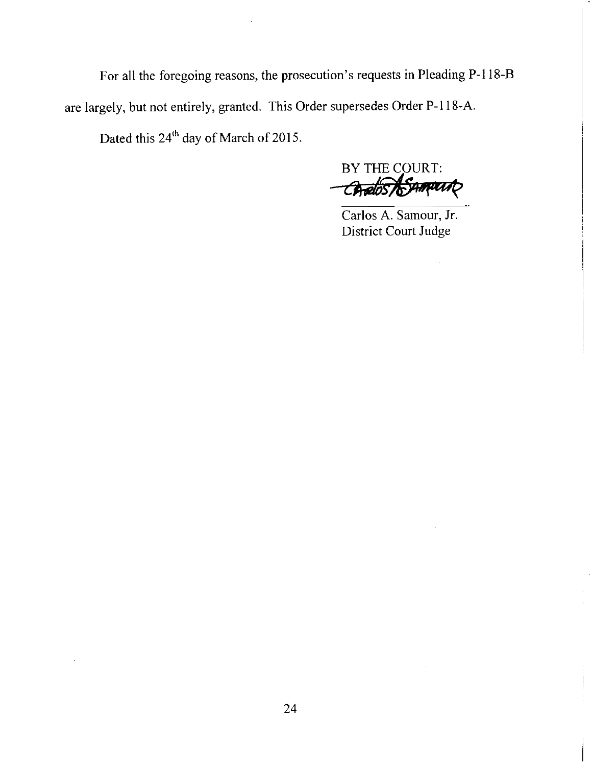For all the foregoing reasons, the prosecution's requests in Pleading P-l l8-B are largely, but not entirely, granted. This Order supersedes Order P-118-A. Dated this 24'h day of March of 2015.

BY THE COURT:<br>Chalos ASAMUTO

Carlos A. Samour, Jr. District Court Judge